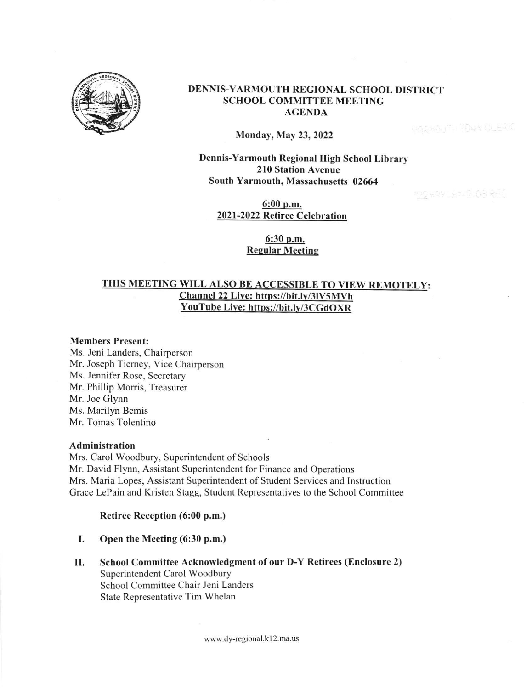

### DENNIS-YARMOUTH REGIONAL SCHOOL DISTRICT SCHOOL COMMITTEE MEETING AGENDA

Monday, May 23,2022

Dennis-Yarmouth Regional High School Library 210 Station Avenue South Yarmouth, Massachusetts 02664

**UGENEL ITH TENN OLEAN** 

6:00 p.m. 2021-2022 Retiree Celebration

> 6:30 o.m. **Regular Meeting**

# THIS MEETING WILL ALSO BE ACCESSIBLE TO VIEW REMOTELY: Channel 22 Live: https://bit.lv/3lV5MVh YouTube Live: https://bit.lv/3CGdOXR

### Members Present:

Ms. Jeni Landers, Chairperson Mr. Joseph Tiemey, Vice Chairperson Ms. Jennifer Rose, Secretary Mr. Phillip Morris, Trcasurer Mr. Joe Glynn Ms. Marilyn Bemis Mr. Tomas Tolentino

### Administration

Mrs. Carol Woodbury, Superintendent of Schools Mr. David FIynn, Assistant Superintendent for Finance and Operations Mrs. Maria Lopes, Assistant Superintendent of Student Services and lnstruction Grace LePain and Kristen Stagg, Student Representatives to the School Committee

### Retiree Reception (6:00 p.m.)

- I. Open the Meeting (6:30 p.m.)
- School Committee Acknowledgment of our D-Y Retirees (Enclosure 2) Superintendent Carol Woodbury School Committee Chair Jeni Landers State Representative Tim Whelan  $II.$

www.dy-regional.k I 2.ma.us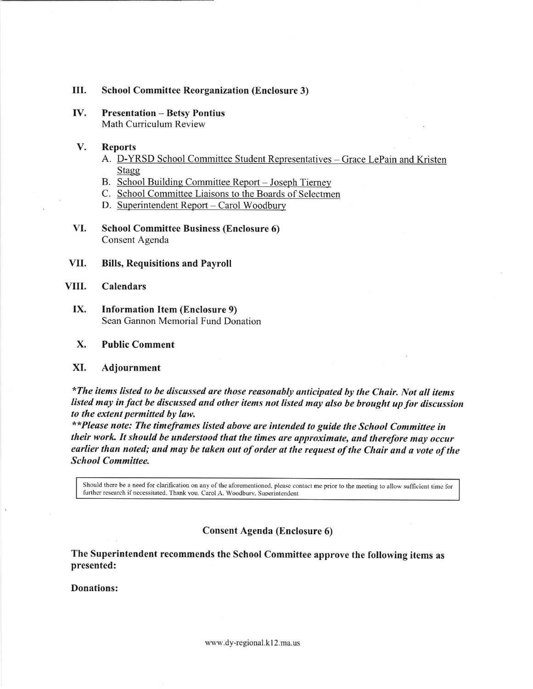#### III. **School Committee Reorganization (Enclosure 3)**

IV. **Presentation - Betsy Pontius** Math Curriculum Review

#### V. **Reports**

- A. D-YRSD School Committee Student Representatives Grace LePain and Kristen Stagg
- B. School Building Committee Report Joseph Tierney
- C. School Committee Liaisons to the Boards of Selectmen
- D. Superintendent Report Carol Woodbury
- VI. **School Committee Business (Enclosure 6)** Consent Agenda
- VII. **Bills, Requisitions and Payroll**

#### VIII. **Calendars**

IX. **Information Item (Enclosure 9)** Sean Gannon Memorial Fund Donation

#### X. **Public Comment**

#### XI. Adjournment

\*The items listed to be discussed are those reasonably anticipated by the Chair. Not all items listed may in fact be discussed and other items not listed may also be brought up for discussion to the extent permitted by law.

\*\*Please note: The timeframes listed above are intended to guide the School Committee in their work. It should be understood that the times are approximate, and therefore may occur earlier than noted; and may be taken out of order at the request of the Chair and a vote of the **School Committee.** 

Should there be a need for clarification on any of the aforementioned, please contact me prior to the meeting to allow sufficient time for further research if necessitated. Thank you. Carol A. Woodbury, Superintendent

**Consent Agenda (Enclosure 6)** 

The Superintendent recommends the School Committee approve the following items as presented:

**Donations:**